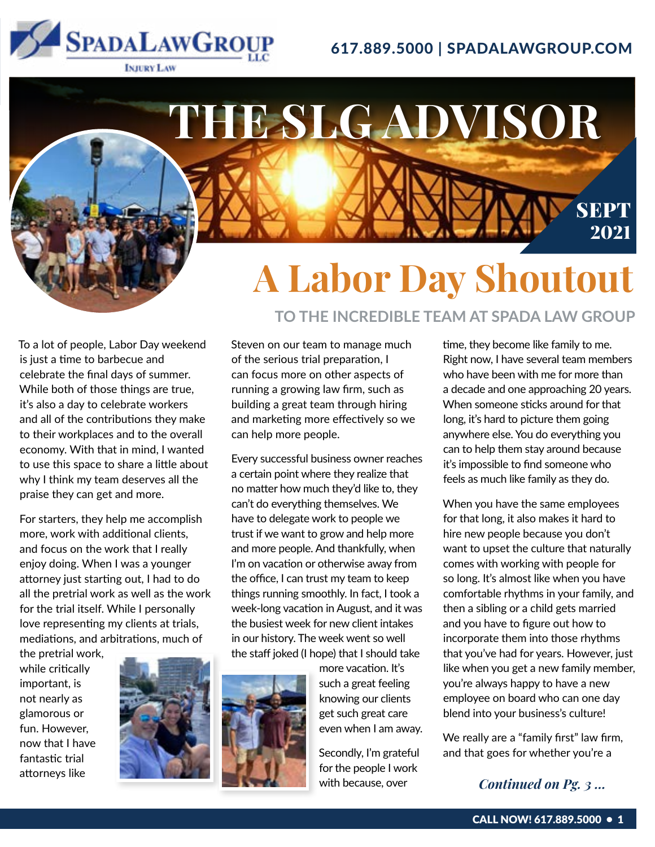

## 617.889.5000 | SPADALAWGROUP.COM

# **A Labor Day Shoutout**

**THE SLG ADVISOR**

**TO THE INCREDIBLE TEAM AT SPADA LAW GROUP**

To a lot of people, Labor Day weekend is just a time to barbecue and celebrate the final days of summer. While both of those things are true, it's also a day to celebrate workers and all of the contributions they make to their workplaces and to the overall economy. With that in mind, I wanted to use this space to share a little about why I think my team deserves all the praise they can get and more.

For starters, they help me accomplish more, work with additional clients, and focus on the work that I really enjoy doing. When I was a younger attorney just starting out, I had to do all the pretrial work as well as the work for the trial itself. While I personally love representing my clients at trials, mediations, and arbitrations, much of

the pretrial work, while critically important, is not nearly as glamorous or fun. However, now that I have fantastic trial attorneys like



Steven on our team to manage much of the serious trial preparation, I can focus more on other aspects of running a growing law firm, such as building a great team through hiring and marketing more effectively so we can help more people.

Every successful business owner reaches a certain point where they realize that no matter how much they'd like to, they can't do everything themselves. We have to delegate work to people we trust if we want to grow and help more and more people. And thankfully, when I'm on vacation or otherwise away from the office, I can trust my team to keep things running smoothly. In fact, I took a week-long vacation in August, and it was the busiest week for new client intakes in our history. The week went so well the staff joked (I hope) that I should take



more vacation. It's such a great feeling knowing our clients get such great care even when I am away.

Secondly, I'm grateful for the people I work with because, over

time, they become like family to me. Right now, I have several team members who have been with me for more than a decade and one approaching 20 years. When someone sticks around for that long, it's hard to picture them going anywhere else. You do everything you can to help them stay around because it's impossible to find someone who feels as much like family as they do.

SEPT

2021

When you have the same employees for that long, it also makes it hard to hire new people because you don't want to upset the culture that naturally comes with working with people for so long. It's almost like when you have comfortable rhythms in your family, and then a sibling or a child gets married and you have to figure out how to incorporate them into those rhythms that you've had for years. However, just like when you get a new family member, you're always happy to have a new employee on board who can one day blend into your business's culture!

We really are a "family first" law firm, and that goes for whether you're a

### *Continued on Pg. 3 ...*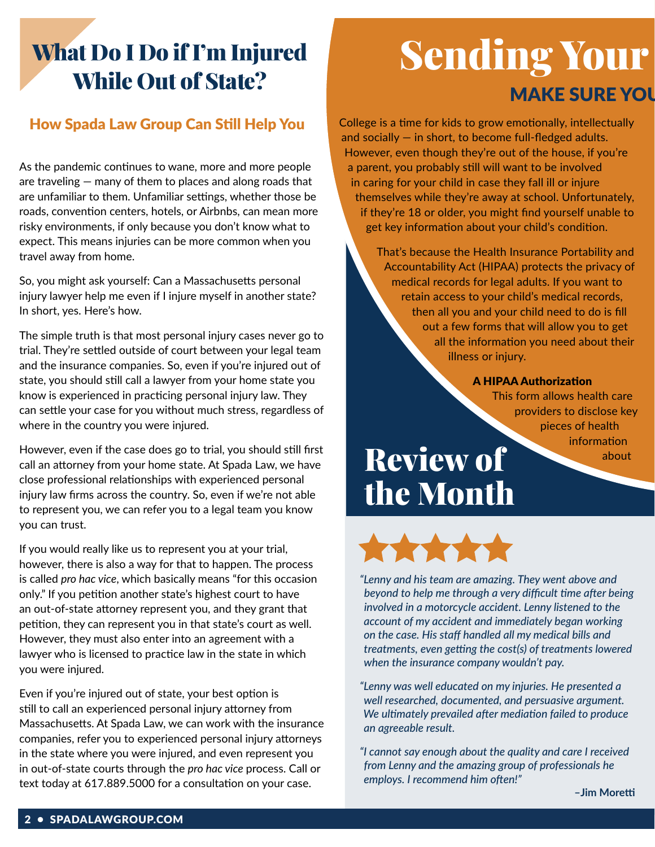## What Do I Do if I'm Injured While Out of State?

### How Spada Law Group Can Still Help You

As the pandemic continues to wane, more and more people are traveling — many of them to places and along roads that are unfamiliar to them. Unfamiliar settings, whether those be roads, convention centers, hotels, or Airbnbs, can mean more risky environments, if only because you don't know what to expect. This means injuries can be more common when you travel away from home.

So, you might ask yourself: Can a Massachusetts personal injury lawyer help me even if I injure myself in another state? In short, yes. Here's how.

The simple truth is that most personal injury cases never go to trial. They're settled outside of court between your legal team and the insurance companies. So, even if you're injured out of state, you should still call a lawyer from your home state you know is experienced in practicing personal injury law. They can settle your case for you without much stress, regardless of where in the country you were injured.

However, even if the case does go to trial, you should still first call an attorney from your home state. At Spada Law, we have close professional relationships with experienced personal injury law firms across the country. So, even if we're not able to represent you, we can refer you to a legal team you know you can trust.

If you would really like us to represent you at your trial, however, there is also a way for that to happen. The process is called *pro hac vice*, which basically means "for this occasion only." If you petition another state's highest court to have an out-of-state attorney represent you, and they grant that petition, they can represent you in that state's court as well. However, they must also enter into an agreement with a lawyer who is licensed to practice law in the state in which you were injured.

Even if you're injured out of state, your best option is still to call an experienced personal injury attorney from Massachusetts. At Spada Law, we can work with the insurance companies, refer you to experienced personal injury attorneys in the state where you were injured, and even represent you in out-of-state courts through the *pro hac vice* process. Call or text today at 617.889.5000 for a consultation on your case.

# **Sending Your MAKE SURE YOU**

College is a time for kids to grow emotionally, intellectually and socially  $-$  in short, to become full-fledged adults. However, even though they're out of the house, if you're a parent, you probably still will want to be involved in caring for your child in case they fall ill or injure themselves while they're away at school. Unfortunately, if they're 18 or older, you might find yourself unable to get key information about your child's condition.

> That's because the Health Insurance Portability and Accountability Act (HIPAA) protects the privacy of medical records for legal adults. If you want to retain access to your child's medical records, then all you and your child need to do is fill out a few forms that will allow you to get all the information you need about their illness or injury.

#### A HIPAA Authorization

This form allows health care providers to disclose key pieces of health information

about

# Review of the Month



*"Lenny and his team are amazing. They went above and beyond to help me through a very difficult time after being involved in a motorcycle accident. Lenny listened to the account of my accident and immediately began working on the case. His staff handled all my medical bills and treatments, even getting the cost(s) of treatments lowered when the insurance company wouldn't pay.*

*"Lenny was well educated on my injuries. He presented a well researched, documented, and persuasive argument. We ultimately prevailed after mediation failed to produce an agreeable result.*

*"I cannot say enough about the quality and care I received from Lenny and the amazing group of professionals he employs. I recommend him often!"*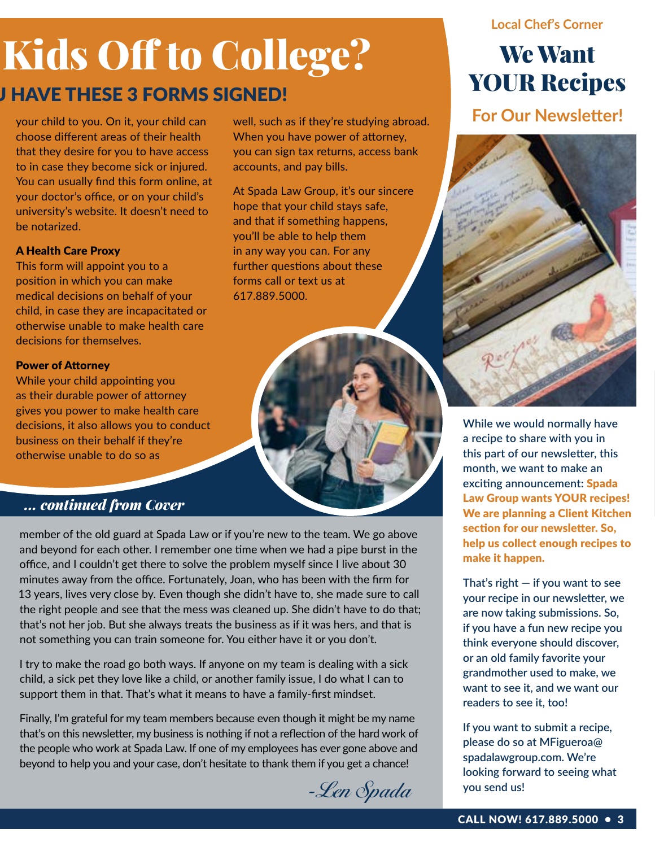# Kids Off to College?

well, such as if they're studying abroad. When you have power of attorney, you can sign tax returns, access bank

At Spada Law Group, it's our sincere hope that your child stays safe, and that if something happens, you'll be able to help them in any way you can. For any further questions about these

accounts, and pay bills.

forms call or text us at

617.889.5000.

## **J HAVE THESE 3 FORMS SIGNED!**

your child to you. On it, your child can choose different areas of their health that they desire for you to have access to in case they become sick or injured. You can usually find this form online, at your doctor's office, or on your child's university's website. It doesn't need to be notarized.

### A Health Care Proxy

This form will appoint you to a position in which you can make medical decisions on behalf of your child, in case they are incapacitated or otherwise unable to make health care decisions for themselves.

### Power of Attorney

While your child appointing you as their durable power of attorney gives you power to make health care decisions, it also allows you to conduct business on their behalf if they're otherwise unable to do so as

## *... continued from Cover*

member of the old guard at Spada Law or if you're new to the team. We go above and beyond for each other. I remember one time when we had a pipe burst in the office, and I couldn't get there to solve the problem myself since I live about 30 minutes away from the office. Fortunately, Joan, who has been with the firm for 13 years, lives very close by. Even though she didn't have to, she made sure to call the right people and see that the mess was cleaned up. She didn't have to do that; that's not her job. But she always treats the business as if it was hers, and that is not something you can train someone for. You either have it or you don't.

I try to make the road go both ways. If anyone on my team is dealing with a sick child, a sick pet they love like a child, or another family issue, I do what I can to support them in that. That's what it means to have a family-first mindset.

Finally, I'm grateful for my team members because even though it might be my name that's on this newsletter, my business is nothing if not a reflection of the hard work of the people who work at Spada Law. If one of my employees has ever gone above and beyond to help you and your case, don't hesitate to thank them if you get a chance!



### **Local Chef's Corner**

## We Want YOUR Recipes

**For Our Newsletter!**



**While we would normally have a recipe to share with you in this part of our newsletter, this month, we want to make an exciting announcement:** Spada Law Group wants YOUR recipes! We are planning a Client Kitchen section for our newsletter. So, help us collect enough recipes to make it happen.

**That's right — if you want to see your recipe in our newsletter, we are now taking submissions. So, if you have a fun new recipe you think everyone should discover, or an old family favorite your grandmother used to make, we want to see it, and we want our readers to see it, too!**

**If you want to submit a recipe, please do so at MFigueroa@ spadalawgroup.com. We're looking forward to seeing what you send us!**